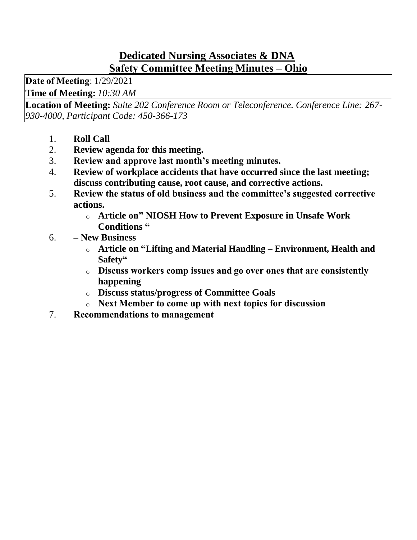### **Dedicated Nursing Associates & DNA Safety Committee Meeting Minutes – Ohio**

**Date of Meeting**: 1/29/2021

**Time of Meeting:** *10:30 AM*

**Location of Meeting:** *Suite 202 Conference Room or Teleconference. Conference Line: 267- 930-4000, Participant Code: 450-366-173*

- 1. **Roll Call**
- 2. **Review agenda for this meeting.**
- 3. **Review and approve last month's meeting minutes.**
- 4. **Review of workplace accidents that have occurred since the last meeting; discuss contributing cause, root cause, and corrective actions.**
- 5. **Review the status of old business and the committee's suggested corrective actions.**
	- o **Article on" NIOSH How to Prevent Exposure in Unsafe Work Conditions "**
- 6. **– New Business**
	- o **Article on "Lifting and Material Handling – Environment, Health and Safety"**
	- o **Discuss workers comp issues and go over ones that are consistently happening**
	- o **Discuss status/progress of Committee Goals**
	- o **Next Member to come up with next topics for discussion**
- 7. **Recommendations to management**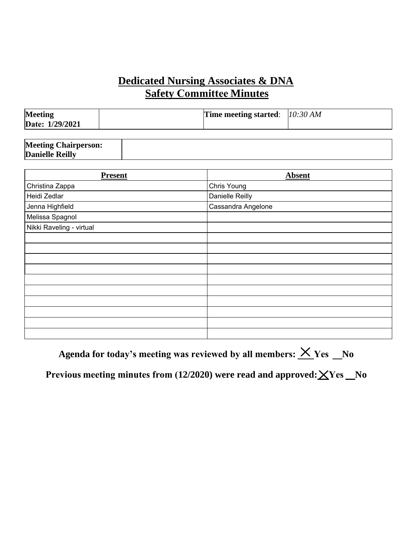# **Dedicated Nursing Associates & DNA Safety Committee Minutes**

| <b>Meeting</b><br>Date: 1/29/2021 | <b>Time meeting started:</b> $10:30 AM$ |  |
|-----------------------------------|-----------------------------------------|--|
|                                   |                                         |  |

| <b>Meeting Chairperson:</b> |  |
|-----------------------------|--|
| <b>Danielle Reilly</b>      |  |
|                             |  |

| <b>Absent</b>      |
|--------------------|
| Chris Young        |
| Danielle Reilly    |
| Cassandra Angelone |
|                    |
|                    |
|                    |
|                    |
|                    |
|                    |
|                    |
|                    |
|                    |
|                    |
|                    |
|                    |
|                    |

Agenda for today's meeting was reviewed by all members:  $\times$  Yes \_No

Previous meeting minutes from (12/2020) were read and approved:  $\angle$ Yes No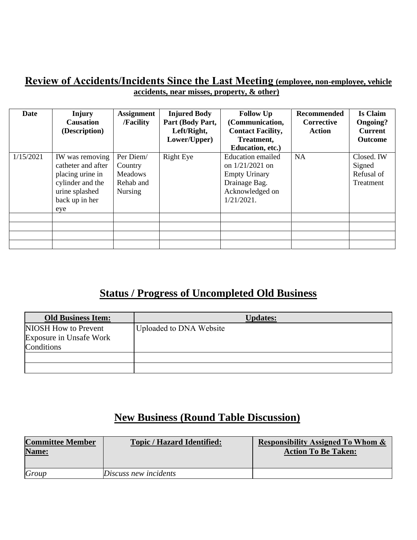#### **Review of Accidents/Incidents Since the Last Meeting (employee, non-employee, vehicle accidents, near misses, property, & other)**

| <b>Date</b> | Injury<br><b>Causation</b><br>(Description)                                                                              | <b>Assignment</b><br>/Facility                                        | <b>Injured Body</b><br>Part (Body Part,<br>Left/Right,<br>Lower/Upper) | <b>Follow Up</b><br>(Communication,<br><b>Contact Facility,</b><br>Treatment,<br>Education, etc.)                          | <b>Recommended</b><br><b>Corrective</b><br><b>Action</b> | <b>Is Claim</b><br><b>Ongoing?</b><br><b>Current</b><br><b>Outcome</b> |
|-------------|--------------------------------------------------------------------------------------------------------------------------|-----------------------------------------------------------------------|------------------------------------------------------------------------|----------------------------------------------------------------------------------------------------------------------------|----------------------------------------------------------|------------------------------------------------------------------------|
| 1/15/2021   | IW was removing<br>catheter and after<br>placing urine in<br>cylinder and the<br>urine splashed<br>back up in her<br>eye | Per Diem/<br>Country<br><b>Meadows</b><br>Rehab and<br><b>Nursing</b> | <b>Right Eye</b>                                                       | <b>Education emailed</b><br>on $1/21/2021$ on<br><b>Empty Urinary</b><br>Drainage Bag.<br>Acknowledged on<br>$1/21/2021$ . | <b>NA</b>                                                | Closed. IW<br>Signed<br>Refusal of<br>Treatment                        |
|             |                                                                                                                          |                                                                       |                                                                        |                                                                                                                            |                                                          |                                                                        |

# **Status / Progress of Uncompleted Old Business**

| <b>Old Business Item:</b> | <b>Updates:</b>         |
|---------------------------|-------------------------|
| NIOSH How to Prevent      | Uploaded to DNA Website |
| Exposure in Unsafe Work   |                         |
| Conditions                |                         |
|                           |                         |
|                           |                         |

# **New Business (Round Table Discussion)**

| <b>Committee Member</b><br>Name: | <b>Topic / Hazard Identified:</b> | <b>Responsibility Assigned To Whom &amp;</b><br><b>Action To Be Taken:</b> |
|----------------------------------|-----------------------------------|----------------------------------------------------------------------------|
| Group                            | Discuss new incidents             |                                                                            |